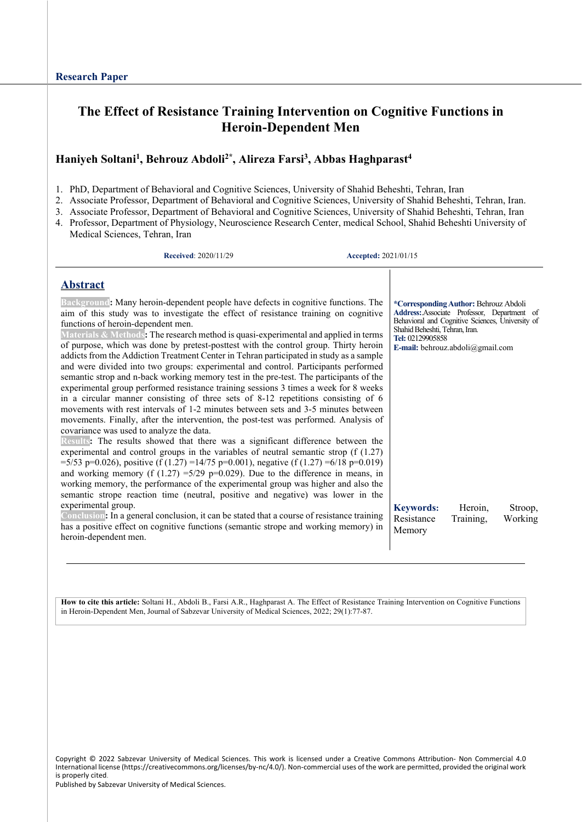# **The Effect of Resistance Training Intervention on Cognitive Functions in Heroin-Dependent Men**

# **Haniyeh Soltani1 , Behrouz Abdoli2\*, Alireza Farsi3 , Abbas Haghparast4**

1. PhD, Department of Behavioral and Cognitive Sciences, University of Shahid Beheshti, Tehran, Iran

- 2. Associate Professor, Department of Behavioral and Cognitive Sciences, University of Shahid Beheshti, Tehran, Iran.
- 3. Associate Professor, Department of Behavioral and Cognitive Sciences, University of Shahid Beheshti, Tehran, Iran
- 4. Professor, Department of Physiology, Neuroscience Research Center, medical School, Shahid Beheshti University of Medical Sciences, Tehran, Iran

| <b>Received: 2020/11/29</b> |
|-----------------------------|
|                             |

**Received**: 2020/11/29 **Accepted:** 2021/01/15

## **Abstract**

|  | Background: Many heroin-dependent people have defects in cognitive functions. The<br>aim of this study was to investigate the effect of resistance training on cognitive<br>functions of heroin-dependent men.<br>Materials & Methods: The research method is quasi-experimental and applied in terms<br>of purpose, which was done by pretest-posttest with the control group. Thirty heroin<br>addicts from the Addiction Treatment Center in Tehran participated in study as a sample<br>and were divided into two groups: experimental and control. Participants performed<br>semantic strop and n-back working memory test in the pre-test. The participants of the<br>experimental group performed resistance training sessions 3 times a week for 8 weeks<br>in a circular manner consisting of three sets of $8-12$ repetitions consisting of 6<br>movements with rest intervals of 1-2 minutes between sets and 3-5 minutes between<br>movements. Finally, after the intervention, the post-test was performed. Analysis of<br>covariance was used to analyze the data.<br>Results: The results showed that there was a significant difference between the<br>experimental and control groups in the variables of neutral semantic strop $(f(1.27))$<br>=5/53 p=0.026), positive (f (1.27) =14/75 p=0.001), negative (f (1.27) =6/18 p=0.019)<br>and working memory (f $(1.27)$ =5/29 p=0.029). Due to the difference in means, in<br>working memory, the performance of the experimental group was higher and also the<br>semantic strope reaction time (neutral, positive and negative) was lower in the<br>experimental group.<br>Conclusion: In a general conclusion, it can be stated that a course of resistance training<br>has a positive effect on cognitive functions (semantic strope and working memory) in<br>heroin-dependent men. | *Corresponding Author: Behrouz Abdoli<br>Address: Associate Professor, Department of<br>Behavioral and Cognitive Sciences, University of<br>Shahid Beheshti, Tehran, Iran.<br>Tel: 02129905858<br>E-mail: behrouz.abdoli@gmail.com<br><b>Keywords:</b><br>Heroin,<br>Stroop,<br>Working<br>Resistance<br>Training,<br>Memory |
|--|-----------------------------------------------------------------------------------------------------------------------------------------------------------------------------------------------------------------------------------------------------------------------------------------------------------------------------------------------------------------------------------------------------------------------------------------------------------------------------------------------------------------------------------------------------------------------------------------------------------------------------------------------------------------------------------------------------------------------------------------------------------------------------------------------------------------------------------------------------------------------------------------------------------------------------------------------------------------------------------------------------------------------------------------------------------------------------------------------------------------------------------------------------------------------------------------------------------------------------------------------------------------------------------------------------------------------------------------------------------------------------------------------------------------------------------------------------------------------------------------------------------------------------------------------------------------------------------------------------------------------------------------------------------------------------------------------------------------------------------------------------------------------------------------------------------------------------------------------------------|------------------------------------------------------------------------------------------------------------------------------------------------------------------------------------------------------------------------------------------------------------------------------------------------------------------------------|
|--|-----------------------------------------------------------------------------------------------------------------------------------------------------------------------------------------------------------------------------------------------------------------------------------------------------------------------------------------------------------------------------------------------------------------------------------------------------------------------------------------------------------------------------------------------------------------------------------------------------------------------------------------------------------------------------------------------------------------------------------------------------------------------------------------------------------------------------------------------------------------------------------------------------------------------------------------------------------------------------------------------------------------------------------------------------------------------------------------------------------------------------------------------------------------------------------------------------------------------------------------------------------------------------------------------------------------------------------------------------------------------------------------------------------------------------------------------------------------------------------------------------------------------------------------------------------------------------------------------------------------------------------------------------------------------------------------------------------------------------------------------------------------------------------------------------------------------------------------------------------|------------------------------------------------------------------------------------------------------------------------------------------------------------------------------------------------------------------------------------------------------------------------------------------------------------------------------|

**How to cite this article:** Soltani H., Abdoli B., Farsi A.R., Haghparast A. The Effect of Resistance Training Intervention on Cognitive Functions in Heroin-Dependent Men, Journal of Sabzevar University of Medical Sciences, 2022; 29(1):77-87.

Copyright © 2022 Sabzevar University of Medical Sciences. This work is licensed under a Creative Commons Attribution- Non Commercial 4.0 International license (https://creativecommons.org/licenses/by-nc/4.0/). Non-commercial uses of the work are permitted, provided the original work is properly cited.

Published by Sabzevar University of Medical Sciences.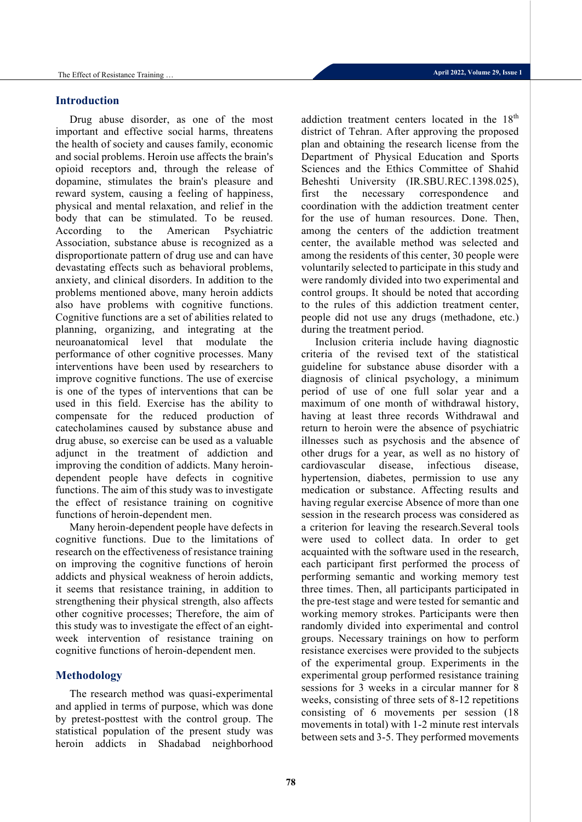## **Introduction**

Drug abuse disorder, as one of the most important and effective social harms, threatens the health of society and causes family, economic and social problems. Heroin use affects the brain's opioid receptors and, through the release of dopamine, stimulates the brain's pleasure and reward system, causing a feeling of happiness, physical and mental relaxation, and relief in the body that can be stimulated. To be reused. According to the American Psychiatric Association, substance abuse is recognized as a disproportionate pattern of drug use and can have devastating effects such as behavioral problems, anxiety, and clinical disorders. In addition to the problems mentioned above, many heroin addicts also have problems with cognitive functions. Cognitive functions are a set of abilities related to planning, organizing, and integrating at the neuroanatomical level that modulate the performance of other cognitive processes. Many interventions have been used by researchers to improve cognitive functions. The use of exercise is one of the types of interventions that can be used in this field. Exercise has the ability to compensate for the reduced production of catecholamines caused by substance abuse and drug abuse, so exercise can be used as a valuable adjunct in the treatment of addiction and improving the condition of addicts. Many heroindependent people have defects in cognitive functions. The aim of this study was to investigate the effect of resistance training on cognitive functions of heroin-dependent men.

Many heroin-dependent people have defects in cognitive functions. Due to the limitations of research on the effectiveness of resistance training on improving the cognitive functions of heroin addicts and physical weakness of heroin addicts, it seems that resistance training, in addition to strengthening their physical strength, also affects other cognitive processes; Therefore, the aim of this study was to investigate the effect of an eightweek intervention of resistance training on cognitive functions of heroin-dependent men.

# **Methodology**

The research method was quasi-experimental and applied in terms of purpose, which was done by pretest-posttest with the control group. The statistical population of the present study was heroin addicts in Shadabad neighborhood addiction treatment centers located in the 18<sup>th</sup> district of Tehran. After approving the proposed plan and obtaining the research license from the Department of Physical Education and Sports Sciences and the Ethics Committee of Shahid Beheshti University (IR.SBU.REC.1398.025), first the necessary correspondence and coordination with the addiction treatment center for the use of human resources. Done. Then, among the centers of the addiction treatment center, the available method was selected and among the residents of this center, 30 people were voluntarily selected to participate in this study and were randomly divided into two experimental and control groups. It should be noted that according to the rules of this addiction treatment center, people did not use any drugs (methadone, etc.) during the treatment period.

Inclusion criteria include having diagnostic criteria of the revised text of the statistical guideline for substance abuse disorder with a diagnosis of clinical psychology, a minimum period of use of one full solar year and a maximum of one month of withdrawal history, having at least three records Withdrawal and return to heroin were the absence of psychiatric illnesses such as psychosis and the absence of other drugs for a year, as well as no history of cardiovascular disease, infectious disease, hypertension, diabetes, permission to use any medication or substance. Affecting results and having regular exercise Absence of more than one session in the research process was considered as a criterion for leaving the research.Several tools were used to collect data. In order to get acquainted with the software used in the research, each participant first performed the process of performing semantic and working memory test three times. Then, all participants participated in the pre-test stage and were tested for semantic and working memory strokes. Participants were then randomly divided into experimental and control groups. Necessary trainings on how to perform resistance exercises were provided to the subjects of the experimental group. Experiments in the experimental group performed resistance training sessions for 3 weeks in a circular manner for 8 weeks, consisting of three sets of 8-12 repetitions consisting of 6 movements per session (18 movements in total) with 1-2 minute rest intervals between sets and 3-5. They performed movements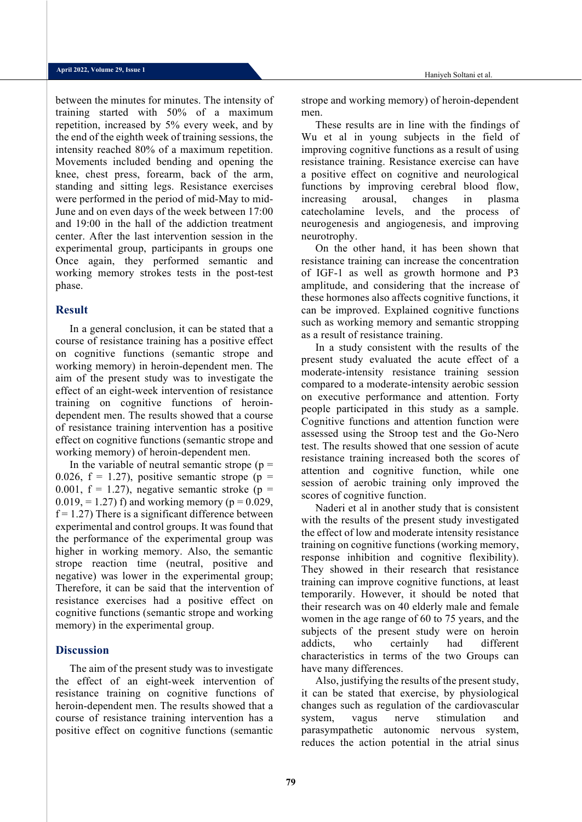between the minutes for minutes. The intensity of training started with 50% of a maximum repetition, increased by 5% every week, and by the end of the eighth week of training sessions, the intensity reached 80% of a maximum repetition. Movements included bending and opening the knee, chest press, forearm, back of the arm, standing and sitting legs. Resistance exercises were performed in the period of mid-May to mid-June and on even days of the week between 17:00 and 19:00 in the hall of the addiction treatment center. After the last intervention session in the experimental group, participants in groups one Once again, they performed semantic and working memory strokes tests in the post-test phase.

#### **Result**

In a general conclusion, it can be stated that a course of resistance training has a positive effect on cognitive functions (semantic strope and working memory) in heroin-dependent men. The aim of the present study was to investigate the effect of an eight-week intervention of resistance training on cognitive functions of heroindependent men. The results showed that a course of resistance training intervention has a positive effect on cognitive functions (semantic strope and working memory) of heroin-dependent men.

In the variable of neutral semantic strope ( $p =$ 0.026,  $f = 1.27$ , positive semantic strope (p = 0.001,  $f = 1.27$ , negative semantic stroke (p = 0.019, = 1.27) f) and working memory ( $p = 0.029$ ,  $f = 1.27$ ) There is a significant difference between experimental and control groups. It was found that the performance of the experimental group was higher in working memory. Also, the semantic strope reaction time (neutral, positive and negative) was lower in the experimental group; Therefore, it can be said that the intervention of resistance exercises had a positive effect on cognitive functions (semantic strope and working memory) in the experimental group.

#### **Discussion**

The aim of the present study was to investigate the effect of an eight-week intervention of resistance training on cognitive functions of heroin-dependent men. The results showed that a course of resistance training intervention has a positive effect on cognitive functions (semantic

strope and working memory) of heroin-dependent men.

These results are in line with the findings of Wu et al in young subjects in the field of improving cognitive functions as a result of using resistance training. Resistance exercise can have a positive effect on cognitive and neurological functions by improving cerebral blood flow, increasing arousal, changes in plasma catecholamine levels, and the process of neurogenesis and angiogenesis, and improving neurotrophy.

On the other hand, it has been shown that resistance training can increase the concentration of IGF-1 as well as growth hormone and P3 amplitude, and considering that the increase of these hormones also affects cognitive functions, it can be improved. Explained cognitive functions such as working memory and semantic stropping as a result of resistance training.

In a study consistent with the results of the present study evaluated the acute effect of a moderate-intensity resistance training session compared to a moderate-intensity aerobic session on executive performance and attention. Forty people participated in this study as a sample. Cognitive functions and attention function were assessed using the Stroop test and the Go-Nero test. The results showed that one session of acute resistance training increased both the scores of attention and cognitive function, while one session of aerobic training only improved the scores of cognitive function.

Naderi et al in another study that is consistent with the results of the present study investigated the effect of low and moderate intensity resistance training on cognitive functions (working memory, response inhibition and cognitive flexibility). They showed in their research that resistance training can improve cognitive functions, at least temporarily. However, it should be noted that their research was on 40 elderly male and female women in the age range of 60 to 75 years, and the subjects of the present study were on heroin addicts, who certainly had different characteristics in terms of the two Groups can have many differences.

Also, justifying the results of the present study, it can be stated that exercise, by physiological changes such as regulation of the cardiovascular system, vagus nerve stimulation and parasympathetic autonomic nervous system, reduces the action potential in the atrial sinus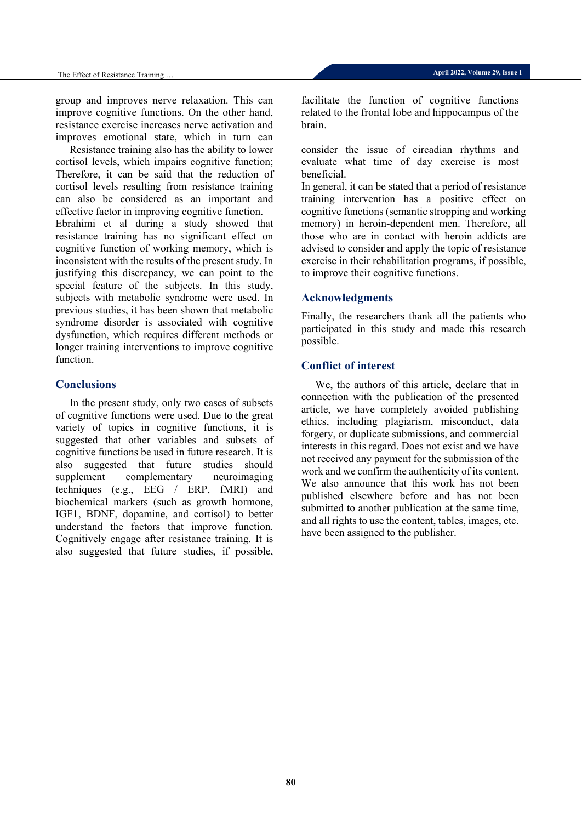group and improves nerve relaxation. This can improve cognitive functions. On the other hand, resistance exercise increases nerve activation and improves emotional state, which in turn can

Resistance training also has the ability to lower cortisol levels, which impairs cognitive function; Therefore, it can be said that the reduction of cortisol levels resulting from resistance training can also be considered as an important and effective factor in improving cognitive function. Ebrahimi et al during a study showed that resistance training has no significant effect on cognitive function of working memory, which is inconsistent with the results of the present study. In justifying this discrepancy, we can point to the special feature of the subjects. In this study, subjects with metabolic syndrome were used. In previous studies, it has been shown that metabolic syndrome disorder is associated with cognitive dysfunction, which requires different methods or longer training interventions to improve cognitive function.

#### **Conclusions**

In the present study, only two cases of subsets of cognitive functions were used. Due to the great variety of topics in cognitive functions, it is suggested that other variables and subsets of cognitive functions be used in future research. It is also suggested that future studies should supplement complementary neuroimaging techniques (e.g., EEG / ERP, fMRI) and biochemical markers (such as growth hormone, IGF1, BDNF, dopamine, and cortisol) to better understand the factors that improve function. Cognitively engage after resistance training. It is also suggested that future studies, if possible,

facilitate the function of cognitive functions related to the frontal lobe and hippocampus of the brain.

consider the issue of circadian rhythms and evaluate what time of day exercise is most beneficial.

In general, it can be stated that a period of resistance training intervention has a positive effect on cognitive functions (semantic stropping and working memory) in heroin-dependent men. Therefore, all those who are in contact with heroin addicts are advised to consider and apply the topic of resistance exercise in their rehabilitation programs, if possible, to improve their cognitive functions.

#### **Acknowledgments**

Finally, the researchers thank all the patients who participated in this study and made this research possible.

### **Conflict of interest**

We, the authors of this article, declare that in connection with the publication of the presented article, we have completely avoided publishing ethics, including plagiarism, misconduct, data forgery, or duplicate submissions, and commercial interests in this regard. Does not exist and we have not received any payment for the submission of the work and we confirm the authenticity of its content. We also announce that this work has not been published elsewhere before and has not been submitted to another publication at the same time, and all rights to use the content, tables, images, etc. have been assigned to the publisher.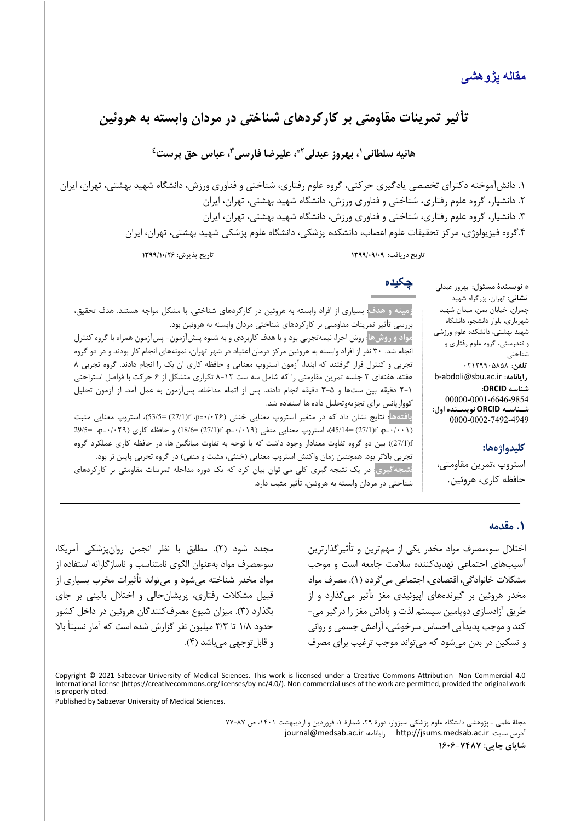# تأثیر تمرینات مقاومتی بر کارکردهای شناختی در مردان وابسته به هروئین

**1 هانیه سلطانی 2\* ، بهروز عبدلی ،3 عباس حق پرست4 ، علیرضا فارس ی**

.1 دانشآموخته دکتراي تخصصی یادگیري حرکتی، گروه علوم رفتاري، شناختی و فناوري ورزش، دانشگاه شهید بهشتی، تهران، ایران .2 دانشیار، گروه علوم رفتاري، شناختی و فناوري ورزش، دانشگاه شهید بهشتی، تهران، ایران .3 دانشیار، گروه علوم رفتاري، شناختی و فناوري ورزش، دانشگاه شهید بهشتی، تهران، ایران .4گروه فیزیولوژي، مرکز تحقیقات علوم اعصاب، دانشکده پزشکی، دانشگاه علوم پزشکی شهید بهشتی، تهران، ایران

**تاریخ دریافت: /09/09 1399 تاریخ پذیرش: 1399/10/26**

**چکیده**

\* **نویسندة مسئول:** بهروز عبدلی **نشانی:** تهران، بزرگراه شهید چمران، خیابان یمن، میدان شهید شهریاري، بلوار دانشجو، دانشگاه شهید بهشتی، دانشکده علوم ورزشی و تندرستی، گروه علوم رفتاري و شناختی **تلفن**: 02129905858 b-abdoli@sbu.ac.ir **:رایانامه شناسه ORCID:** 00000-0001-6646-9854 **شـناسـه ORCID نویسـنده اول:** 0000-0002-7492-4949

### **کلیدواژهها:**

استروپ ،تمرین مقاومت ی، حافظه کاري، هروئین.

**زمینه و هدف**: بسیاري از افراد وابسته به هروئین در کارکردهاي شناختی، با مشکل مواجه هستند. هدف تحقیق، بررسی تأثیر تمرینات مقاومتی بر کارکردهاي شناختی مردان وابسته به هروئین بود. **مواد و روش ها**: روش اجرا، نیمه تجربی بود و با هدف کاربرد ي و به شیوه پیش آزمون- پس آزمون همراه با گروه کنترل

انجام شد. 30 نفر از افراد وابسته به هروئین مرکز درمان اعتیاد در شهر تهران، نمونههاي انجام کار بودند و در دو گروه تجربی و کنترل قرار گرفتند که ابتدا، آزمون استروپ معنایی و حافظه کاري ان بک را انجام دادند. گروه تجربی 8 هفته، هفتهاي 3 جلسه تمرین مقاومتی را که شامل سه ست 8-12 تکراري متشکل از 6 حرکت با فواصل استراحتی 2-1 دق یقه بین ستها و 3-5 دق یقه انجام دادند. پس از اتمام مداخله، پسآزمون به عمل آمد. از آزمون تحلیل کوواریانس براي تجز یهوتحلیل دادهها استفاده شد.

**یافتهها**: نتایج نشان داد که در متغیر استروپ معنایی خنثی (/026 0=p، f)27/1= (53/5(، استروپ معنایی مثبت (101-1+g) (1001 0=45/14)، استروپ معنایی منفی (1/01+g) (18/6 (27/1) و حافظه کاری (101+g) (29/5 - 4p،  $-$ 9/9 f)27/1 ((بین دو گروه تفاوت معنادار وجود داشت که با توجه به تفاوت میانگین ها، در حافظه کاري عملکرد گروه تجربی بالاتر بود. همچنین زمان واکنش استروپ معنایی (خنثی، مثبت و منفی) در گروه تجربی پایین تر بود. نتیجهگیری<mark>: در یک نتیجه گیری کلی می توان بیان کرد که یک دوره مداخله تمرینات مقاومتی بر کارکردهای</mark> شناختی در مردان وابسته به هروئین، تأث یر مثبت دارد.

#### **.1 مقدمه**

اختلال سوءمصرف مواد مخدر یکی از مهم ترین و تأثیرگذارترین آسیب هاي اجتماعی تهدیدکننده سلامت جامعه است و موجب مشکلات خانوادگی، اقتصادي، اجتماعی می گردد ( 1). مصرف مواد مخدر هروئین بر [گیرنده هاي اپیوئیدي](https://fa.wikipedia.org/wiki/%DA%AF%DB%8C%D8%B1%D9%86%D8%AF%D9%87%E2%80%8C%D9%87%D8%A7%DB%8C_%D8%A7%D9%88%D9%BE%DB%8C%D9%88%D8%A6%DB%8C%D8%AF) مغز تأثیر می گذارد و از طریق آزاد سازي دوپامین سیستم لذت و پاداش مغز را درگیر می - کند و موجب پدیدآیی احساس سرخوشی، آرامش جسمی و روانی و تسکین در بدن می شود که می تواند موجب ترغیب براي مصرف

مجدد شود ( 2). مطابق با نظر ا نجمن روان پزشکی آمریکا، سوءمصرف مواد به عنوان الگوی نامتناسب و ناساز گارانه استفاده از مواد مخدر شناخته می شود و می تواند تأثیرات مخرب بسیاري از قبیل مشکلات رفتاری، پریشان حالی و اختلال بالینی بر جای بگذارد ( 3). میزان شیوع مصرف کنندگان هروئین در داخل کشور حدود ۱/۸ تا ۳/۳ میلیون نفر گزارش شده است که آمار نسبتاً بالا و قابل توجهی می باشد ( 4).

Copyright © 2021 Sabzevar University of Medical Sciences. This work is licensed under a Creative Commons Attribution- Non Commercial 4.0 International license (https://creativecommons.org/licenses/by-nc/4.0/). Non-commercial uses of the work are permitted, provided the original work is properly cited.

Published by Sabzevar University of Medical Sciences.

مجلۀ علمی ـ پژوهشی دانشگاه علوم پزشکی سبزوار، دورة ،29 شمارة ،1 فروردین و اردیبهشت ،1401 ص 77-87 [journal@medsab.ac.ir](mailto:journal@medsab.ac.ir) :رایانامه [http://jsums.medsab.ac.ir](http://jsums.medsab.ac.ir/) :سایت آدرس **شاپاي چاپی: 1606-7487**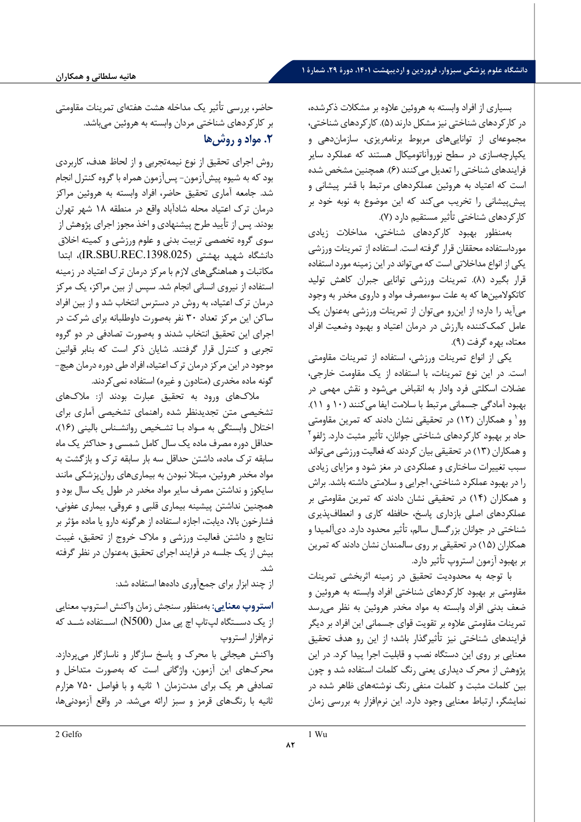بسیاري از افراد وابسته به هروئین علاوه بر مشکلات ذکرشده ، در کارکردهاي شناختی نیز مشکل دارند ( 5). کارکردهاي شناختی، مجموعهای از توانایی های مربوط برنامهریزی، سازماندهی و یکپارچه سازي در سطح نوروآناتومیکال هستند که عملکرد سایر فرایندهاي شناختی را تعدیل می کنند ( 6). همچنین مشخص شده است که اعتیاد به هروئین عملکردهاي مرتبط با قشر پیشانی و پیش پیشانی را تخریب می کند که این موضوع به نوبه خود بر کارکردهاي شناختی تأثیر مستقیم دارد ( 7).

به منظور بهبود کارکردهاي شناختی، مداخلا ت زیادي مورداستفاده محققان قرار گرفته است. استفاده از تمرینات ورزشی یکی از انواع مداخلاتی است که می تواند در این زمینه مورد استفاده قرار بگیرد ( 8). تمرینات ورزشی توانایی جبران کاهش تولید کاتکولامین ها که به علت سوءمصرف مواد و داروي مخدر به وجود می آید را دارد؛ از این رو می توان از تمرینات ورزشی به عنوان یک عامل کمک کننده باارزش در درمان اعتیاد و بهبود وضعیت افراد معتاد، بهره گرفت ( 9).

یکی از انواع تمرینات ورزشی، استفاده از تمرینات مقاومتی است. در این نوع تمرینات، با استفاده از یک مقاومت خارجی، عضلات اسکلتی فرد وادار به انقباض می شود و نقش مهمی در بهبود آمادگی جسمانی مرتبط با سلامت ایفا می کنند ( 10 و 11). وو و همکاران ( 12) در تحقیقی نشان دادند که تمرین مقاومتی [1](#page-5-0) حاد بر بهبود کارکردهای شناختی جوانان، تأثیر مثبت دارد. ژلفو<sup>۲</sup> و همکاران ( 13) د ر تحقیقی بیان کردند که فعالیت ورزشی می تواند سبب تغییرات ساختاري و عملکردي در مغز شود و مزایاي زیادي را در بهبود عملکرد شناختی، اجرایی و سلامتی داشته باشد. براش و همکاران (۱۴) در تحقیقی نشان دادند که تمرین مقاومتی بر عملکردهاي اصلي بازداري پاسخ، حافظه کاري و انعطافپذیري شناختی در جوانان بزرگسال سالم، تأثیر محدود دارد. دیآلمیدا و همکاران ( 15) در تحقیقی بر روي سالمندان نشان دادند که تمرین بر بهبود آزمون استروپ تأثیر دارد.

با توجه به محدودیت تحقیق در زمینه اثربخشی تمرینات مقاومتی بر بهبود کارکردهای شناختی افراد وابسته به هروئین و ضعف بدنی افراد وابسته به مواد مخدر هروئین به نظر می رسد تمرینات مقاومتی علاوه بر تقویت قواي جسمانی این افراد بر دیگر فرایندهاي شناختی نیز تأثیرگذار باشد؛ از این رو هدف تحقیق معنایی بر روي این دستگاه نصب و قابلیت اجرا پیدا کرد. در این پژوهش از محرك دیداري یعنی رنگ کلمات استفاده شد و چون بین کلمات مثبت و کلمات منفی رنگ نوشته هاي ظاهر شده در نمایشگر، ارتباط معنایی وجود دارد. این نرم افزار به بررسی زمان

حاضر، بررسی تأثیر یک مداخله هشت هفتهای تمرینات مقاومتی بر کارکردهاي شناختی مردان وابسته به هروئین می باشد. **.2 مواد و روش ها** 

روش اجراي تحقیق از نوع نیمه تجربی و از لحاظ هدف، کاربردي بود که به شیوه پیش آزمون - پس آزمون همراه با گروه کنترل انجام شد. جامعه آماري تحقیق حاضر، افراد وابسته به هروئین مراکز درمان ترك اعتیاد محله شادآباد واقع در منطقه 18 شهر تهران بودند. پس از تأیید طرح پیشنهادي و اخذ مجوز اجراي پژوهش از سوي گروه تخصصی تربیت بدنی و علوم ورزشی و کمیته اخلاق دانشگاه شهید بهشتی ( .1398.025REC.SBU.IR(، ابتدا مکاتبات و هماهنگی هاي لازم با مرکز درمان ترك اعتیاد در زمینه استفاده از نیروي انسانی انجام شد. سپس از بین مراکز، یک مرکز درمان ترك اعتیاد، به روش در دسترس انتخاب شد و از بین افراد ساکن این مرکز تعداد 30 نفر به صورت داوطلبانه براي شرکت در اجراي این تحقیق انتخاب شدند و به صورت تصادفی در دو گروه تجربی و کنترل قرار گرفتند. شایان ذکر است که بنابر قوانین موجود در این مرکز درمان ترك اعتیاد، افراد طی دوره درمان هیچ- گونه ماده مخدري (متادون و غیره) استفاده نمی کردند.

ملاك هاي ورود به تحقیق عبارت بودند از: ملاك هاي تشخیصی متن تجدیدنظر شده راهنماي تشخیصی آماري براي اختلال وابستگی به مـواد بـا تشـخیص روانشـناس بالینی ( 16) ، حداقل دوره مصرف ماده یک سال کامل شمسی و حداکثر یک ماه سابقه ترك ماده، داشتن حداقل سه بار سابقه ترك و بازگشت به مواد مخدر هروئین، مبتلا نبودن به بیماریهای روانپزشکی مانند سایکوز و نداشتن مصرف سایر مواد مخدر در طول یک سال بود و همچنین نداشتن پیشینه بیماري قلبی و عروقی، بیماري عفونی، فشارخون بالا، دیابت، اجازه استفاده از هرگونه دارو یا ماده مؤثر بر نتایج و داشتن فعالیت ورزشی و ملاك خروج از تحقیق ، غیبت بیش از یک جلسه در فرایند اجراي تحقیق به عنوان در نظر گرفته .<br>شد.

از چند ابزار براي جمع آوري دادهها استفاده شد:

**استروپ معنایی :** به منظور سنجش زمان واکنش استروپ معنایی از یک دســتگاه لپ تاپ اچ پی مدل (500N (اســتفاده شــد که نرم افزار استروپ

<span id="page-5-0"></span>واکنش هیجانی با محرك و پاسخ سازگار و ناسازگار می پردازد. محرك هاي این آزمون ، واژگان ی است که به صورت متداخل و تصادفی هر یک براي مدت زمان 1 ثانیه و با فواصل 750 هزارم ثانیه با رنگ های قرمز و سبز ارائه می شد. در واقع آزمودنی ها،

1 Wu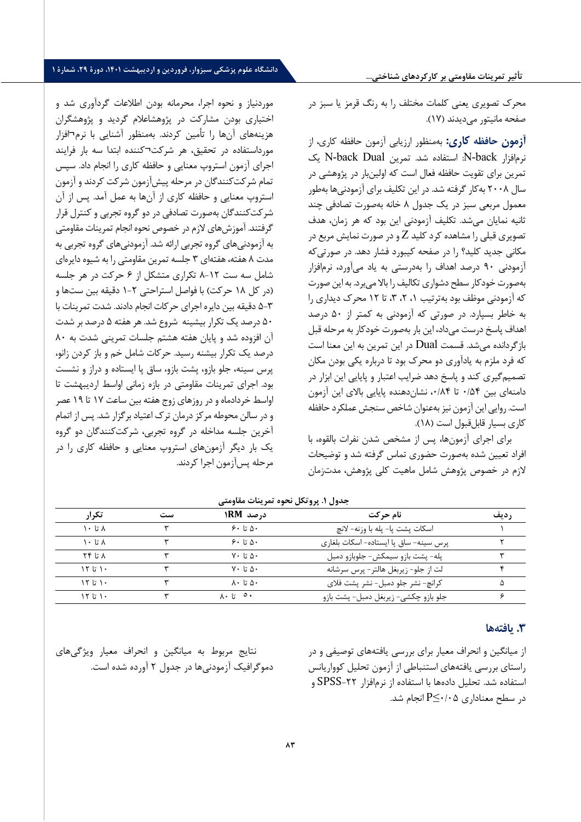**تأثیر تمرینات مقاومتی بر کارکردهاي شناختی...**

محرک تصویری یعنی کلمات مختلف را به رنگ قرمز یا سبز در صفحه مانیتور می دیدند ( 17).

**آزمون حافظه کاري :** به منظور ارزیابی آزمون حافظه کاري، از نرم افزار back-N: استفاده شد. تمر ی ن Dual back-N یک تمرین برای تقویت حافظه فعال است که اولینبار در پژوهشی در سال ۲۰۰۸ به کار گرفته شد. در این تکلیف برای آزمودنی ها بهطور معمول مربعی سبز در یک جدول ۸ خانه بهصورت تصادفی چند ثانیه نمایان می شد. تکلیف آزمودنی این بود که هر زمان، هدف تصویری قبلی را مشاهده کرد کلید  $Z$  و در صورت نمایش مربع در مکانی جدید کلید؟ را در صفحه کیبورد فشار دهد. در صورتی *ک*ه آزمودنی ۹۰ درصد اهداف را بهدرستی به یاد میآورد، نرمافزار به صورت خود کار سطح دشواری تکالیف را بالا می برد. به این صورت که آزمودنی موظف بود بهترتیب ۱، ۲، ۳، تا ۱۲ محرک دیداری را به خاطر بسپارد. در صورتی که آزمودنی به کمتر از ۵۰ درصد اهداف پاسخ درست میداد، این بار بهصورت خودکار به مرحله قبل بازگردانده میشد. قسمت Dual در این تمرین به این معنا است که فرد ملزم به یادآوری دو محرک بود تا درباره یکی بودن مکان تصمیم گیری کند و پاسخ دهد ضرایب اعتبار و پایایی این ابزار در دامنهای بین ۰/۵۴ تا ۰/۸۴، نشان دهنده پایایی بالای این آزمون است. روایی این آزمون نیز بهعنوان شاخص سنجش عملکرد حافظه کا, ی بسیا, قابل قبول است (١٨).

براي اجراي آزمونها، پس از مشخص شدن نفرات بالقوه، با افراد تعیین شده به ورت حضوری تماس گرفته شد و توضیحات لازم در خصوص پژوهش شامل ماهیت کلی پژوهش، مدت زمان

موردنیاز و نحوه اجرا، محرمانه بودن اطلاعات گردآوری شد و اختیاری بودن مشارکت در پژوهشاعلام گردید و پژوهشگران هزینههای آنها را تأمین کردند. بهمنظور آشنایی با نرم¬افزار مورداستفاده در تحقیق، هر شرکت ¬کننده ابتدا سه بار فرا یند اجرای آزمون استروپ معنایی و حافظه کاری را انجام داد. سپس تمام شرکت کنندگان در مرحله پ یش آزمون شرکت کردند و آزمون استروپ معنايي و حافظه کاري از آنها به عمل آمد. پس از آن شر کت کنندگان به صورت تصادفی در دو گروه تجربی و کنترل قرار گرفتند. آموزش های لازم در خصوص نحوه انجام تمرينات مقاومتي به آزمودني هاي گروه تجربي ارائه شد. آزمودني هاي گروه تجربي به مدت ۸ هفته، هفتهای ۳ جلسه تمرین مقاومتی را به شیوه دایرهای شامل سه ست ١٢-٨ تکراري متشکل از ۶ حرکت در هر جلسه (در کل ١٨ حرکت) با فواصل استراحتی ٢-١ دقیقه بین ستها و 5-3 دق یقه ب ین دا یره اجرا ي حرکات انجام دادند. شدت تمر ینات با ۵۰ درصد یک تکرار بیشینه شروع شد. هر هفته ۵ درصد بر شدت آن افزوده شد و پایان هفته هشتم جلسات تمرینی شدت به ۸۰ درصد یک تکرار بیشنه رسید. حرکات شامل خم و باز کردن زانو، پرس سینه، جلو بازو، پشت بازو، ساق پا ایستاده و دراز و نشست بود. اجرای تمرينات مقاومتی در بازه زمانی اواسط ارديبهشت تا اواسط خردادماه و در روزهای زوج هفته بین ساعت ۱۷ تا ۱۹ عصر و در سالن محوطه مرکز درمان ترک اعتیاد برگزار شد. پس از اتمام آخرین جلسه مداخله در گروه تجربی، شرکتکنندگان دو گروه یک بار دیگر آزمونهای استروپ معنایی و حافظه کاری را در مرحله پس آزمون اجرا کر دند .

| تک ار<br>ست |  | درصد RM۱                        | نام حرکت                               | , دىف |  |
|-------------|--|---------------------------------|----------------------------------------|-------|--|
| ۸ تا ۱۰     |  | 9.5.0                           | اسكات يشت يا- پله با وزنه- لانچ        |       |  |
| ۸ تا ۱۰     |  | ۵۰ تا ۶۰                        | پرس سینه- ساق پا ایستاده- اسکات بلغاری |       |  |
| ۲۴ تا ۲۴    |  | ۷۰ تا ۷۰                        | پله- پشت بازو سیمکش- جلوبازو دمبل      |       |  |
| 151.        |  | $V \cdot$ $\vdots \wedge \cdot$ | لت از جلو- زیربغل هالتر- پرس سرشانه    |       |  |
| 151.        |  | ۵۰ تا ۸۰                        | كرانچ- نشر جلو دمبل- نشر پشت فلاي      |       |  |
| ۱۲ تا ۱۲    |  | ∙∘ تا ۸۰                        | جلو بازو چکشی- زیربغل دمبل- پشت بازو   |       |  |

**جدول .1 پروتکل نحوه تمر ینات مقاومتی** 

#### **.3 یافته ها**

از میانگین و انحراف معیار براي بررسی یافتههاي توصیفی و در راستاي بررسی یافتههاي استنباطی از آزمون تحلیل کوواریانس استفاده شد. تحلیل دادهها با استفاده از نرمافزار -22SPSS و در سطح معناداري  $P \leq \cdot / \cdot 2$  انجام شد.

نتایج مربوط به میانگین و انحراف معیار ویژگیهاي دموگرافیک آزمودنیها در جدول 2 آورده شده است.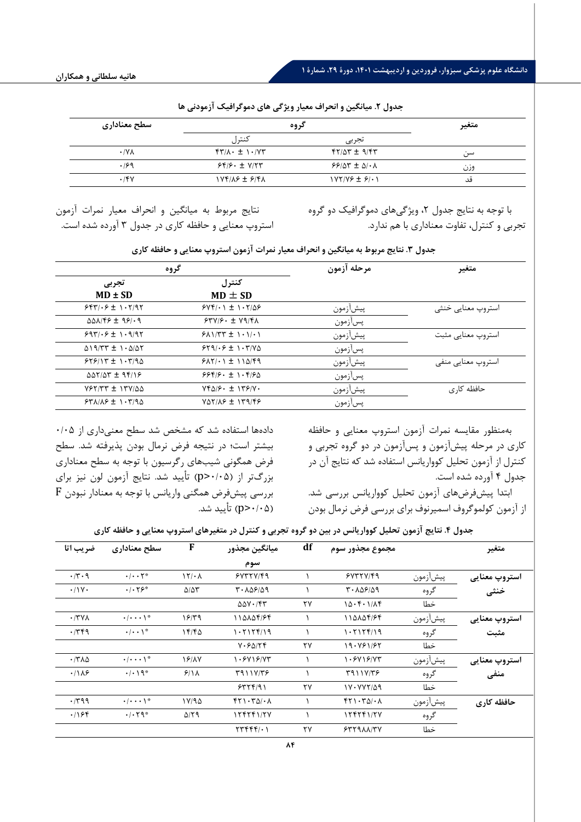| سطح معنادارى        | گروه                                                                | متغير                  |     |
|---------------------|---------------------------------------------------------------------|------------------------|-----|
|                     | كنترل                                                               | تجربي                  |     |
| $\cdot$ /Y $\wedge$ | $\uparrow \uparrow / \wedge \cdot \pm \wedge \cdot / \vee \uparrow$ | $fY/\Delta Y \pm 9/fY$ | سہ  |
| .199                | $55/5. \pm V/57$                                                    | $99/07 \pm 0/3$        | وزن |
| .15V                | $YYf/\lambda f \pm f/\lambda$                                       | $NYY/Y9 \pm 9/11$      | قد  |

**جدول .2 میانگین و انحراف مع یار ویژگی هاي دموگراف یک آزمودنی ها** 

نتایج مربوط به میانگین و انحراف معیار نمرات آزمون استروپ معنایی و حافظه کاري در جدول 3 آورده شده است. با توجه به نتایج جدول ۲، ویژگی های دموگرافیک دو گروه تجربی و کنترل، تفاوت معناداري با هم ندارد.

|                                    | گروه                                                                                     | مرحله آزمون | متغير              |  |
|------------------------------------|------------------------------------------------------------------------------------------|-------------|--------------------|--|
| تجربي<br>$MD \pm SD$               | كنترل<br>$MD \pm SD$                                                                     |             |                    |  |
| $557/35 \pm 1.5/97$                | $SYF/\cdot$ $\uparrow$ $\uparrow$ $\uparrow$ $\uparrow$ $\uparrow$ $\uparrow$ $\uparrow$ | پيشازمون    | استروپ معنایی خنثی |  |
| $\Delta\Delta\lambda$ /۴۶ ± ٩۶/٠٩  | $57V/F. \pm V9/F$                                                                        | پسأزمون     |                    |  |
| $9971.9 \pm 1.9197$                | $5\lambda$ $\frac{1}{T}$ $\pm$ $\frac{1}{1}$ $\cdot$ $\frac{1}{1}$                       | پيشازمون    | استروپ معنایی مثبت |  |
| $\Delta$ $(9/TT \pm 1.2/\Delta T)$ | $559/·5 \pm 1.7/8$                                                                       | پسازمون     |                    |  |
| $555/17 \pm 1.7/90$                | $5\lambda$ Y/ $\cdot$ 1 1 1 1 $\Delta$ / $5\%$                                           | پيشازمون    | استروپ معنایی منفی |  |
| $\Delta\Delta V/\Delta Y = 95/19$  | $9999.5 \pm 1.992$                                                                       | پسازمون     |                    |  |
| $Y$ $5Y$ $/7Y$ $+1Y$ $100$         | $Yf\Delta/\mathcal{F}\cdot \pm Y\mathcal{F}/Y\cdot$                                      | پيشازمون    | حافظه کاری         |  |
| $541/15 \pm 1.7/90$                | $YAY/AP \pm 179/FP$                                                                      | پسأزمون     |                    |  |

**جدول .3 نتایج مربوط به میانگین و انحراف مع یار نمرات آزمون استروپ معنایی و حافظه کاري** 

دادهها استفاده شد که مشخص شد سطح معنی داري از 0/05 بیشتر است؛ در نتیجه فرض نرمال بودن پذیرفته شد. سطح فرض همگونی شیب هاي رگرسیون با توجه به سطح معناداري بزرگتر از (0/05<p (تأیید شد. نتایج آزمون لون نیز براي بررسی پیش فرض همگنی واریانس با توجه به معنادار نبودن F (0/05<p (تأیید شد. بهمنظور مقایسه نمرات آزمون استروپ معنایی و حافظه کاري در مرحله پیش آزمون و پسآزمون در دو گروه تجربی و کنترل از آزمون تحلیل کوواریانس استفاده شد که نتایج آن در جدول 4 آورده شده است.

ابتدا پیشفرضهاي آزمون تحلیل کوواریانس بررسی شد. از آزمون کولموگروف اسمیرنوف براي بررسی فرض نرمال بودن

**جدول .4 نتایج آزمون تحلیل کوواریانس در بین دو گروه تجرب ی و کنترل در متغ یرهاي استروپ معنایی و حافظه کاري** 

| ضريب اتا             | سطح معناداري                                   | $\mathbf{F}$            | ميانگين مجذور                                       | df | مجموع مجذور سوم                                     |          | متغير         |
|----------------------|------------------------------------------------|-------------------------|-----------------------------------------------------|----|-----------------------------------------------------|----------|---------------|
|                      |                                                |                         | سوم                                                 |    |                                                     |          |               |
| $\cdot$ /۳ $\cdot$ 9 | $\cdot/\cdot\cdot$ $\uparrow$ $\circ$          | 17/2                    | 5YTYYfQ                                             |    | 5YTY/Y/69                                           | پيشازمون | استروپ معنایی |
| $\cdot$ /\Y $\cdot$  | $\cdot$ / $\cdot$ $\uparrow$ $\varphi$ $\circ$ | $\Delta/\Delta\Upsilon$ | 1.108/09                                            |    | $T - \Lambda \Delta 5/ \Delta 9$                    | گروه     | خنثى          |
|                      |                                                |                         | $\Delta \Delta V \cdot / \xi V$                     | ٢٧ | 10.5.1/AF                                           | خطا      |               |
| $\cdot$ /۳۷۸         | $\cdot/\cdot\cdot\setminus^*$                  | 18/۳۹                   | 110104194                                           |    | 110104194                                           | پيشازمون | استروپ معنایی |
| .779                 | $\cdot/\cdot\cdot$ \*                          | 15/50                   | 1.51156/19                                          |    | ۱۰۲۱۲۴/۱۹                                           | گروه     | مثبت          |
|                      |                                                |                         | V.50/7f                                             | ٢٧ | 19.761/62                                           | خطا      |               |
| $\cdot$ /٣٨٥         | $\cdot/\cdot\cdot\setminus^*$                  | 18/17                   | 1.5415/77                                           |    | ۱۰۶۷۱۶/۷۳                                           | پيشازمون | استروپ معنایی |
| .118                 | $\cdot/\cdot$ \ 9*                             | 9/11                    | 5911V/T                                             |    | T911V/T5                                            | گروه     | منفى          |
|                      |                                                |                         | 55591                                               | ٢٧ | $1V \cdot VVY/\Delta$ 9                             | خطا      |               |
| .799                 | $\cdot/\cdot\cdot\setminus^*$                  | 11/90                   | $f\uparrow\uparrow\cdot\uparrow\Delta/\cdot\Lambda$ |    | $f\uparrow\uparrow\cdot\uparrow\Delta/\cdot\Lambda$ | پيشازمون | حافظه كارى    |
| .198                 | $\cdot$ / $\cdot$ $\uparrow$ 9.                | $\Delta$ /٢٩            | 155551/7V                                           |    | 124241/27                                           | گروه     |               |
|                      |                                                |                         | $\tau \tau \tau \tau \tau (\cdot)$                  | ٢٧ | 5579AAYY                                            | خطا      |               |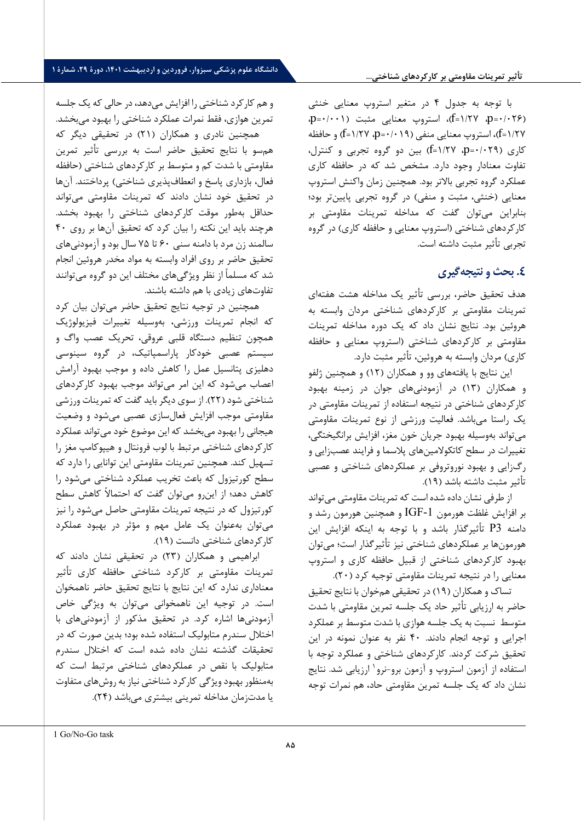با توجه به جدول 4 در متغیر استروپ معنایی خنثی (0/026=p، 1/27=f(، استروپ معنایی مثبت (0/001=p، 1/27=f(، استروپ معنایی منفی (0/019=p، 1/27=f (و حافظه کاري (0/029= p، 1/27 =f (بین دو گروه تجربی و کنترل، تفاوت معنادار وجود دارد. مشخص شد که در حافظه کاري عملکرد گروه تجربی بالاتر بود. همچنین زمان واکنش استروپ معنایی (خنثی، مثبت و منفی) در گروه تجربی پایینتر بود؛ بنابراین میتوان گفت که مداخله تمرینات مقاومتی بر کارکردهاي شناختی (استروپ معنایی و حافظه کاري) در گروه تجربی تأثیر مثبت داشته است.

# **.4 بحث و نت ی جه گ ی ر ي**

هدف تحقیق حاضر، بررسی تأثیر یک مداخله هشت هفتهاي تمرینات مقاومتی بر کارکردهاي شناختی مردان وابسته به هروئین بود. نتایج نشان داد که یک دوره مداخله تمرینات مقاومتی بر کارکردهاي شناختی (استروپ معنایی و حافظه کاري) مردان وابسته به هروئین، تأثیر مثبت دارد.

این نتایج با یافته هاي وو و همکاران (12) و همچنین ژلفو و همکاران (13) در آزمودنیهاي جوان در زمینه بهبود کارکردهاي شناختی در نتیجه استفاده از تمرینات مقاومتی در یک راستا می باشد. فعالیت ورزشی از نوع تمرینات مقاومتی می تواند به وسیله بهبود جریان خون مغز، افزایش برانگیختگی، تغییرات در سطح کاتکولامینهاي پلاسما و فرایند عصب زایی و رگزایی و بهبود نوروتروفی بر عملکردهاي شناختی و عصبی تأثیر مثبت داشته باشد (19).

از طرفی نشان داده شده است که تمرینات مقاومتی می تواند بر افزایش غلظت هورمون  $\rm IGF$ -1 و همچنین هورمون رشد و دامنه 3P تأثیرگذار باشد و با توجه به اینکه افزایش این هورمونها بر عملکردهاي شناختی نیز تأثیرگذار است؛ می توان بهبود کارکردهاي شناختی از قبیل حافظه کاري و استروپ معنایی را در نتیجه تمرینات مقاومتی توجیه کرد (20).

تساك و همکاران (19) در تحقیقی هم خوان با نتایج تحقیق حاضر به ارزیابی تأثیر حاد یک جلسه تمر ین مقاومتی با شدت متوسط نسبت به یک جلسه هواز ي با شدت متوسط بر عملکرد اجرایی و توجه انجام دادند. 40 نفر به عنوان نمونه در این تحقیق شرکت کردند. کارکردهاي شناختی و عملکرد توجه با استفاده از آزمون استروپ و آزمون برو-نرو<sup>۱</sup> ارزیابی شد. نتایج نشان داد که یک جلسه تمرین مقاومتی حاد، هم نمرات توجه

و هم کارکرد شناختی را افزایش میدهد، در حالی که یک جلسه تمرین هوازي ، فقط نمرات عملکرد شناختی را بهبود میبخشد. همچنین نادري و همکاران (21) در تحقیقی دیگر که

همسو با نتایج تحقیق حاضر است به بررسی تأثیر تمرین مقاومتی با شدت کم و متوسط بر کارکردهاي شناختی (حافظه فعال، بازداري پاسخ و انعطافپذیري شناختی) پرداختند. آنها در تحقیق خود نشان دادند که تمرینات مقاومتی میتواند حداقل بهطور موقت کارکردهاي شناختی را بهبود بخشد. هرچند باید این نکته را بیان کرد که تحقیق آنها بر روي 40 سالمند زن مرد با دامنه سنی 60 تا 75 سال بود و آزمودنیهاي تحقیق حاضر بر روي افراد وابسته به مواد مخدر هروئین انجام شد که مسلماً از نظر ویژگیهاي مختلف این دو گروه میتوانند تفاوتهاي زیادي با هم داشته باشند.

همچنین در توجیه نتایج تحقیق حاضر میتوان بیان کرد که انجام تمرینات ورزشی، به وسیله تغییرات فیزیولوژیک همچون تنظیم دستگاه قلبی عروقی، تحریک عصب واگ و سیستم عصبی خودکار پاراسمپاتیک، در گروه سینوسی دهلیزي پتانسیل عمل را کاهش داده و موجب بهبود آرامش اعصاب میشود که این امر می تواند موجب بهبود کارکردهاي شناختی شود (22). از سوي دیگر باید گفت که تمرینات ورزشی مقاومتی موجب افزایش فعالسازي عصبی می شود و وضعیت هیجانی را بهبود میبخشد که این موضوع خود می تواند عملکرد کارکردهاي شناختی مرتبط با لوب فرونتال و هیپوکامپ مغز را تسهیل کند. همچنین تمرینات مقاومتی این توانایی را دارد که سطح کورتیزول که باعث تخریب عملکرد شناختی می شود را کاهش دهد؛ از اینرو میتوان گفت که احتمالاً کاهش سطح کورتیزول که در نتیجه تمرینات مقاومتی حاصل میشود را نیز می توان بهعنوان یک عامل مهم و مؤثر در بهبود عملکرد کارکردهاي شناختی دانست (19).

<span id="page-8-0"></span>ابراهیمی و همکاران (23) در تحقیقی نشان دادند که تمرینات مقاومتی بر کارکرد شناختی حافظه کاري تأثیر معناداري ندارد که این نتایج با نتایج تحقیق حاضر ناهمخوان است. در توجیه این ناهمخوانی میتوان به ویژگی خاص آزمودنیها اشاره کرد. در تحقیق مذکور از آزمودنی هاي با اختلال سندرم متابولیک استفاده شده بود؛ بدین صورت که در تحقیقات گذشته نشان داده شده است که اختلال سندرم متابولیک با نقص در عملکردهاي شناختی مرتبط است که بهمنظور بهبود ویژگی کارکرد شناختی نیاز به روشهاي متفاوت یا مدتزمان مداخله تمرینی بیشتري می باشد (24).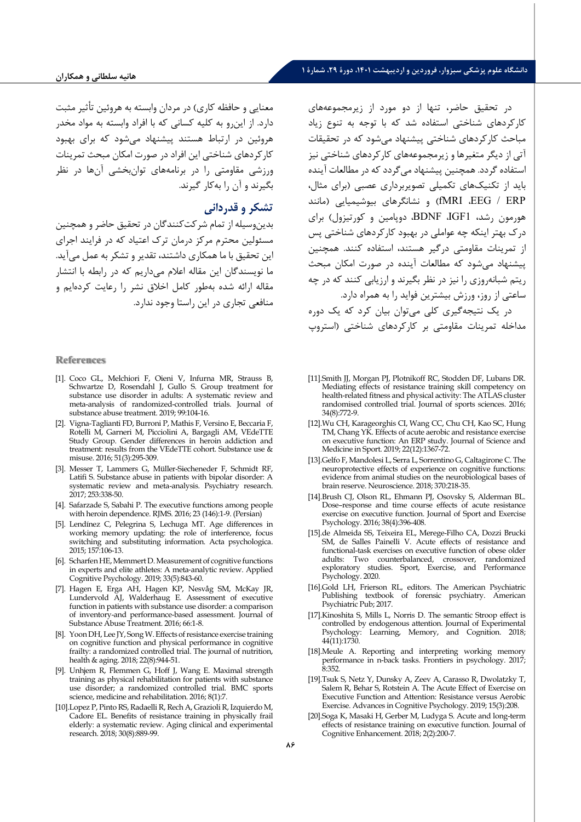معنایی و حافظه کاري) در مردان وابسته به هروئین تأثیر مثبت دارد. از ا ینرو به کلیه کسانی که با افراد وابسته به مواد مخدر هروئین در ارتباط هستند پیشنهاد میشود که براي بهبود کارکردهاي شناختی این افراد در صورت امکان مبحث تمرینات ورزشی مقاومتی را در برنامه هاي توانبخشی آنها در نظر بگیرند و آن را به کار گیرند.

# **تشکر و قدردانی**

بدین وسیله از تمام شرکت کنندگان در تحقیق حاضر و همچنین مسئولین محترم مرکز درمان ترك اعتیاد که در فرایند اجراي این تحقیق با ما همکاري داشتند، تقدیر و تشکر به عمل میآید. ما نویسندگان این مقاله اعلام میداریم که در رابطه با انتشار مقاله ارائه شده بهطور کامل اخلاق نشر را رعایت کرده ایم و منافعی تجاري در این راستا وجود ندارد.

#### **References**

- [1]. Coco GL, Melchiori F, Oieni V, Infurna MR, Strauss B, Schwartze D, Rosendahl J, Gullo S. Group treatment for substance use disorder in adults: A systematic review and meta-analysis of randomized-controlled trials. Journal of substance abuse treatment. 2019; 99:104-16.
- [2]. Vigna-Taglianti FD, Burroni P, Mathis F, Versino E, Beccaria F, Rotelli M, Garneri M, Picciolini A, Bargagli AM, VEdeTTE Study Group. Gender differences in heroin addiction and treatment: results from the VEdeTTE cohort. Substance use & misuse. 2016; 51(3):295-309.
- [3]. Messer T, Lammers G, Müller-Siecheneder F, Schmidt RF, Latifi S. Substance abuse in patients with bipolar disorder: A systematic review and meta-analysis. Psychiatry research. 2017; 253:338-50.
- [4]. Safarzade S, Sabahi P. The executive functions among people with heroin dependence. RJMS. 2016; 23 (146):1-9. (Persian)
- [5]. Lendínez C, Pelegrina S, Lechuga MT. Age differences in working memory updating: the role of interference, focus switching and substituting information. Acta psychologica. 2015; 157:106-13.
- [6]. Scharfen HE, Memmert D. Measurement of cognitive functions in experts and elite athletes: A meta‐analytic review. Applied Cognitive Psychology. 2019; 33(5):843-60.
- [7]. Hagen E, Erga AH, Hagen KP, Nesvåg SM, McKay JR, Lundervold AJ, Walderhaug E. Assessment of executive function in patients with substance use disorder: a comparison of inventory-and performance-based assessment. Journal of Substance Abuse Treatment. 2016; 66:1-8.
- [8]. Yoon DH, Lee JY, Song W. Effects of resistance exercise training on cognitive function and physical performance in cognitive frailty: a randomized controlled trial. The journal of nutrition, health & aging. 2018; 22(8):944-51.
- [9]. Unhjem R, Flemmen G, Hoff J, Wang E. Maximal strength training as physical rehabilitation for patients with substance use disorder; a randomized controlled trial. BMC sports science, medicine and rehabilitation. 2016; 8(1):7.
- [10].Lopez P, Pinto RS, Radaelli R, Rech A, Grazioli R, Izquierdo M, Cadore EL. Benefits of resistance training in physically frail elderly: a systematic review. Aging clinical and experimental research. 2018; 30(8):889-99.

در تحقیق حاضر، تنها از دو مورد از زیرمجموعههاي کارکردهاي شناختی استفاده شد که با توجه به تنوع زیاد مباحث کارکردهاي شناختی پیشنهاد می شود که در تحقیقات آتی از دیگر متغیرها و زیرمجموعههاي کارکردهاي شناختی نیز استفاده گردد. همچنین پیشنهاد می گردد که در مطالعات آینده باید از تکنیکهای تکمیلی تصویربرداری عصبی (برای مثال، ERP / EEG، fMRI (و نشانگرهاي بیوش یم یایی (مانند هورمون رشد، 1IGF، BDNF، دوپامین و کورتیزول) براي درك بهتر اینکه چه عواملی در بهبود کارکردهاي شناختی پس از تمرینات مقاومتی درگیر هستند، استفاده کنند. همچنین پیشنهاد می شود که مطالعات آینده در صورت امکان مبحث ریتم شبانه روزی را نیز در نظر بگیرند و ارزیابی کنند که در چه ساعتی از روز، ورزش بیشترین فواید را به همراه دارد. در یک نتیجهگیري کلی می توان بیان کرد که یک دوره مداخله تمرینات مقاومتی بر کارکردهاي شناختی (استروپ

- [11].Smith JJ, Morgan PJ, Plotnikoff RC, Stodden DF, Lubans DR. Mediating effects of resistance training skill competency on health-related fitness and physical activity: The ATLAS cluster randomised controlled trial. Journal of sports sciences. 2016; 34(8):772-9.
- [12].Wu CH, Karageorghis CI, Wang CC, Chu CH, Kao SC, Hung TM, Chang YK. Effects of acute aerobic and resistance exercise on executive function: An ERP study. Journal of Science and Medicine in Sport. 2019; 22(12):1367-72.
- [13].Gelfo F, Mandolesi L, Serra L, Sorrentino G, Caltagirone C. The neuroprotective effects of experience on cognitive functions: evidence from animal studies on the neurobiological bases of brain reserve. Neuroscience. 2018; 370:218-35.
- [14].Brush CJ, Olson RL, Ehmann PJ, Osovsky S, Alderman BL. Dose–response and time course effects of acute resistance exercise on executive function. Journal of Sport and Exercise Psychology. 2016; 38(4):396-408.
- [15].de Almeida SS, Teixeira EL, Merege-Filho CA, Dozzi Brucki SM, de Salles Painelli V. Acute effects of resistance and functional-task exercises on executive function of obese older adults: Two counterbalanced, crossover, randomized exploratory studies. Sport, Exercise, and Performance Psychology. 2020.
- [16].Gold LH, Frierson RL, editors. The American Psychiatric Publishing textbook of forensic psychiatry. American Psychiatric Pub; 2017.
- [17].Kinoshita S, Mills L, Norris D. The semantic Stroop effect is controlled by endogenous attention. Journal of Experimental Psychology: Learning, Memory, and Cognition. 2018; 44(11):1730.
- [18].Meule A. Reporting and interpreting working memory performance in n-back tasks. Frontiers in psychology. 2017; 8:352.
- [19].Tsuk S, Netz Y, Dunsky A, Zeev A, Carasso R, Dwolatzky T, Salem R, Behar S, Rotstein A. The Acute Effect of Exercise on Executive Function and Attention: Resistance versus Aerobic Exercise. Advances in Cognitive Psychology. 2019; 15(3):208.
- [20].Soga K, Masaki H, Gerber M, Ludyga S. Acute and long-term effects of resistance training on executive function. Journal of Cognitive Enhancement. 2018; 2(2):200-7.